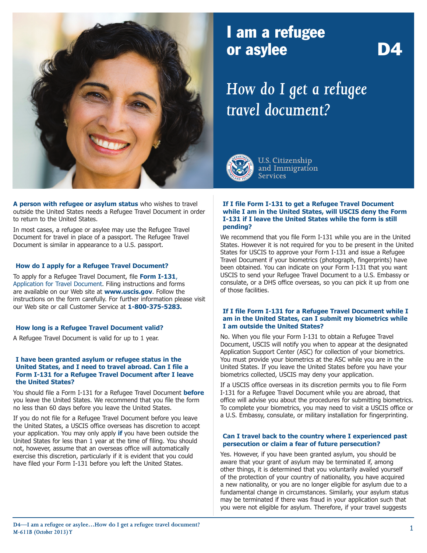

## I am a refugee or asylee **D4**

# *How do I get a refugee travel document?*



**U.S. Citizenship** and Immigration **Services** 

**A person with refugee or asylum status** who wishes to travel outside the United States needs a Refugee Travel Document in order to return to the United States.

In most cases, a refugee or asylee may use the Refugee Travel Document for travel in place of a passport. The Refugee Travel Document is similar in appearance to a U.S. passport.

#### **How do I apply for a Refugee Travel Document?**

To apply for a Refugee Travel Document, file **Form I-131**, Application for Travel Document. Filing instructions and forms are available on our Web site at **[www.uscis.gov](http://www.uscis.gov)**. Follow the instructions on the form carefully. For further information please visit our Web site or call Customer Service at **1-800-375-5283.**

#### **How long is a Refugee Travel Document valid?**

A Refugee Travel Document is valid for up to 1 year.

#### **I have been granted asylum or refugee status in the United States, and I need to travel abroad. Can I file a Form I-131 for a Refugee Travel Document after I leave the United States?**

You should file a Form I-131 for a Refugee Travel Document **before** you leave the United States. We recommend that you file the form no less than 60 days before you leave the United States.

If you do not file for a Refugee Travel Document before you leave the United States, a USCIS office overseas has discretion to accept your application. You may only apply **if** you have been outside the United States for less than 1 year at the time of filing. You should not, however, assume that an overseas office will automatically exercise this discretion, particularly if it is evident that you could have filed your Form I-131 before you left the United States.

#### **If I file Form I-131 to get a Refugee Travel Document while I am in the United States, will USCIS deny the Form I-131 if I leave the United States while the form is still pending?**

We recommend that you file Form I-131 while you are in the United States. However it is not required for you to be present in the United States for USCIS to approve your Form I-131 and issue a Refugee Travel Document if your biometrics (photograph, fingerprints) have been obtained. You can indicate on your Form I-131 that you want USCIS to send your Refugee Travel Document to a U.S. Embassy or consulate, or a DHS office overseas, so you can pick it up from one of those facilities.

#### **If I file Form I-131 for a Refugee Travel Document while I am in the United States, can I submit my biometrics while I am outside the United States?**

No. When you file your Form I-131 to obtain a Refugee Travel Document, USCIS will notify you when to appear at the designated Application Support Center (ASC) for collection of your biometrics. You must provide your biometrics at the ASC while you are in the United States. If you leave the United States before you have your biometrics collected, USCIS may deny your application.

If a USCIS office overseas in its discretion permits you to file Form I-131 for a Refugee Travel Document while you are abroad, that office will advise you about the procedures for submitting biometrics. To complete your biometrics, you may need to visit a USCIS office or a U.S. Embassy, consulate, or military installation for fingerprinting.

#### **Can I travel back to the country where I experienced past persecution or claim a fear of future persecution?**

Yes. However, if you have been granted asylum, you should be aware that your grant of asylum may be terminated if, among other things, it is determined that you voluntarily availed yourself of the protection of your country of nationality, you have acquired a new nationality, or you are no longer eligible for asylum due to a fundamental change in circumstances. Similarly, your asylum status may be terminated if there was fraud in your application such that you were not eligible for asylum. Therefore, if your travel suggests